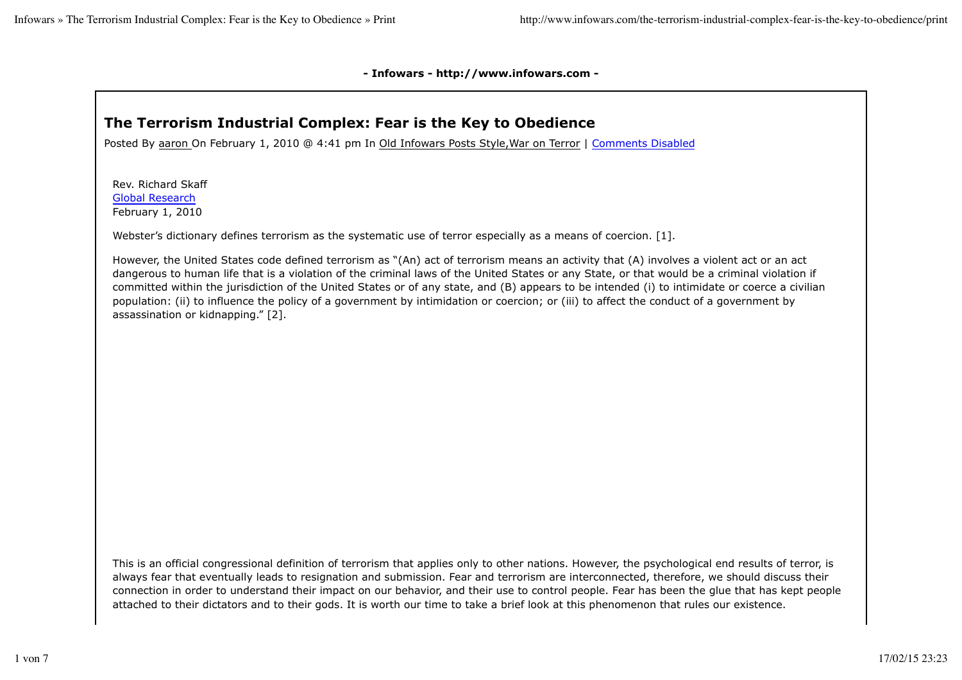**- Infowars - http://www.infowars.com -**

## **The Terrorism Industrial Complex: Fear is the Key to Obedience**

Posted By aaron On February 1, 2010 @ 4:41 pm In Old Infowars Posts Style, War on Terror | Comments Disabled

Rev. Richard Skaff Global Research February 1, 2010

Webster's dictionary defines terrorism as the systematic use of terror especially as a means of coercion. [1].

However, the United States code defined terrorism as "(An) act of terrorism means an activity that (A) involves a violent act or an act dangerous to human life that is a violation of the criminal laws of the United States or any State, or that would be a criminal violation if committed within the jurisdiction of the United States or of any state, and (B) appears to be intended (i) to intimidate or coerce a civilian population: (ii) to influence the policy of a government by intimidation or coercion; or (iii) to affect the conduct of a government by assassination or kidnapping." [2].

This is an official congressional definition of terrorism that applies only to other nations. However, the psychological end results of terror, is always fear that eventually leads to resignation and submission. Fear and terrorism are interconnected, therefore, we should discuss their connection in order to understand their impact on our behavior, and their use to control people. Fear has been the glue that has kept people attached to their dictators and to their gods. It is worth our time to take a brief look at this phenomenon that rules our existence.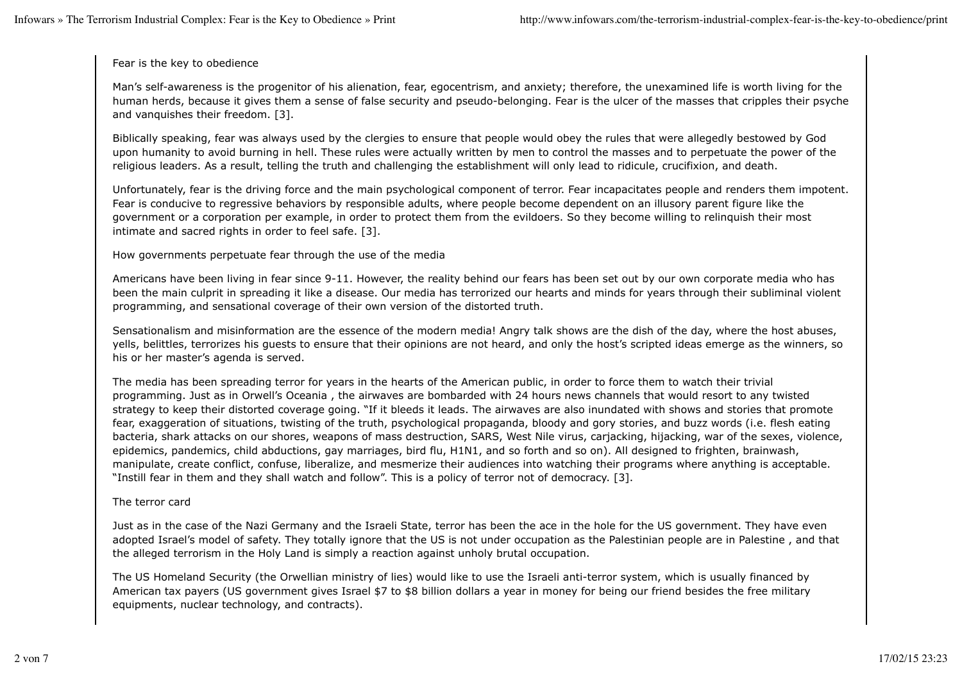Fear is the key to obedience

Man's self-awareness is the progenitor of his alienation, fear, egocentrism, and anxiety; therefore, the unexamined life is worth living for the human herds, because it gives them a sense of false security and pseudo-belonging. Fear is the ulcer of the masses that cripples their psyche and vanquishes their freedom. [3].

Biblically speaking, fear was always used by the clergies to ensure that people would obey the rules that were allegedly bestowed by God upon humanity to avoid burning in hell. These rules were actually written by men to control the masses and to perpetuate the power of the religious leaders. As a result, telling the truth and challenging the establishment will only lead to ridicule, crucifixion, and death.

Unfortunately, fear is the driving force and the main psychological component of terror. Fear incapacitates people and renders them impotent. Fear is conducive to regressive behaviors by responsible adults, where people become dependent on an illusory parent figure like the government or a corporation per example, in order to protect them from the evildoers. So they become willing to relinquish their most intimate and sacred rights in order to feel safe. [3].

How governments perpetuate fear through the use of the media

Americans have been living in fear since 9-11. However, the reality behind our fears has been set out by our own corporate media who has been the main culprit in spreading it like a disease. Our media has terrorized our hearts and minds for years through their subliminal violent programming, and sensational coverage of their own version of the distorted truth.

Sensationalism and misinformation are the essence of the modern media! Angry talk shows are the dish of the day, where the host abuses, yells, belittles, terrorizes his guests to ensure that their opinions are not heard, and only the host's scripted ideas emerge as the winners, so his or her master's agenda is served.

The media has been spreading terror for years in the hearts of the American public, in order to force them to watch their trivial programming. Just as in Orwell's Oceania , the airwaves are bombarded with 24 hours news channels that would resort to any twisted strategy to keep their distorted coverage going. "If it bleeds it leads. The airwaves are also inundated with shows and stories that promote fear, exaggeration of situations, twisting of the truth, psychological propaganda, bloody and gory stories, and buzz words (i.e. flesh eating bacteria, shark attacks on our shores, weapons of mass destruction, SARS, West Nile virus, carjacking, hijacking, war of the sexes, violence, epidemics, pandemics, child abductions, gay marriages, bird flu, H1N1, and so forth and so on). All designed to frighten, brainwash, manipulate, create conflict, confuse, liberalize, and mesmerize their audiences into watching their programs where anything is acceptable. "Instill fear in them and they shall watch and follow". This is a policy of terror not of democracy. [3].

## The terror card

Just as in the case of the Nazi Germany and the Israeli State, terror has been the ace in the hole for the US government. They have even adopted Israel's model of safety. They totally ignore that the US is not under occupation as the Palestinian people are in Palestine , and that the alleged terrorism in the Holy Land is simply a reaction against unholy brutal occupation.

The US Homeland Security (the Orwellian ministry of lies) would like to use the Israeli anti-terror system, which is usually financed by American tax payers (US government gives Israel \$7 to \$8 billion dollars a year in money for being our friend besides the free military equipments, nuclear technology, and contracts).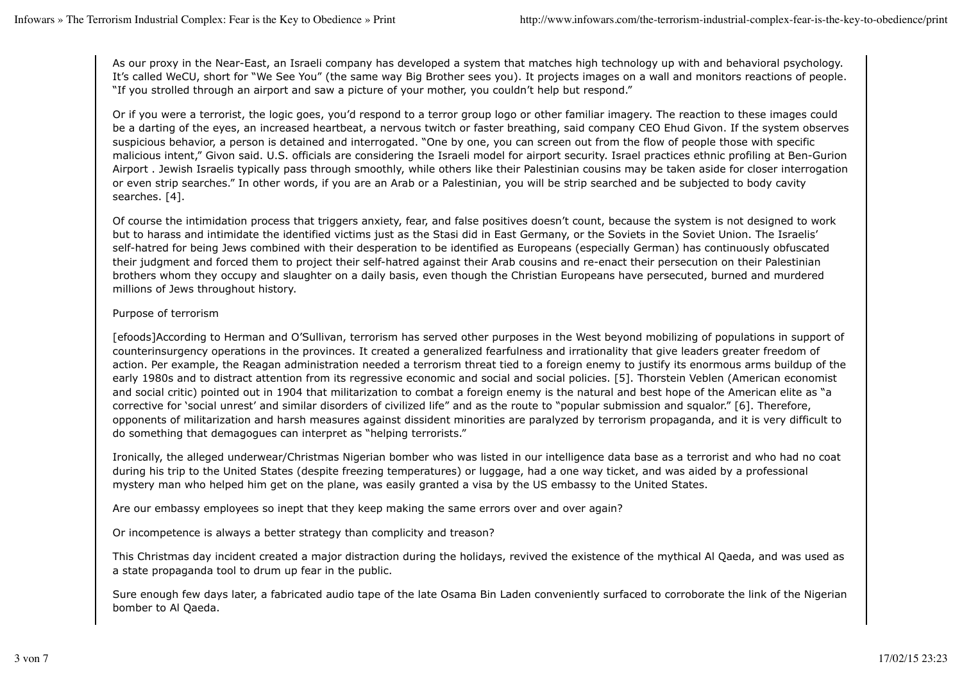As our proxy in the Near-East, an Israeli company has developed a system that matches high technology up with and behavioral psychology. It's called WeCU, short for "We See You" (the same way Big Brother sees you). It projects images on a wall and monitors reactions of people. "If you strolled through an airport and saw a picture of your mother, you couldn't help but respond."

Or if you were a terrorist, the logic goes, you'd respond to a terror group logo or other familiar imagery. The reaction to these images could be a darting of the eyes, an increased heartbeat, a nervous twitch or faster breathing, said company CEO Ehud Givon. If the system observes suspicious behavior, a person is detained and interrogated. "One by one, you can screen out from the flow of people those with specific malicious intent," Givon said. U.S. officials are considering the Israeli model for airport security. Israel practices ethnic profiling at Ben-Gurion Airport . Jewish Israelis typically pass through smoothly, while others like their Palestinian cousins may be taken aside for closer interrogation or even strip searches." In other words, if you are an Arab or a Palestinian, you will be strip searched and be subjected to body cavity searches. [4].

Of course the intimidation process that triggers anxiety, fear, and false positives doesn't count, because the system is not designed to work but to harass and intimidate the identified victims just as the Stasi did in East Germany, or the Soviets in the Soviet Union. The Israelis' self-hatred for being Jews combined with their desperation to be identified as Europeans (especially German) has continuously obfuscated their judgment and forced them to project their self-hatred against their Arab cousins and re-enact their persecution on their Palestinian brothers whom they occupy and slaughter on a daily basis, even though the Christian Europeans have persecuted, burned and murdered millions of Jews throughout history.

## Purpose of terrorism

[efoods]According to Herman and O'Sullivan, terrorism has served other purposes in the West beyond mobilizing of populations in support of counterinsurgency operations in the provinces. It created a generalized fearfulness and irrationality that give leaders greater freedom of action. Per example, the Reagan administration needed a terrorism threat tied to a foreign enemy to justify its enormous arms buildup of the early 1980s and to distract attention from its regressive economic and social and social policies. [5]. Thorstein Veblen (American economist and social critic) pointed out in 1904 that militarization to combat a foreign enemy is the natural and best hope of the American elite as "a corrective for 'social unrest' and similar disorders of civilized life" and as the route to "popular submission and squalor." [6]. Therefore, opponents of militarization and harsh measures against dissident minorities are paralyzed by terrorism propaganda, and it is very difficult to do something that demagogues can interpret as "helping terrorists."

Ironically, the alleged underwear/Christmas Nigerian bomber who was listed in our intelligence data base as a terrorist and who had no coat during his trip to the United States (despite freezing temperatures) or luggage, had a one way ticket, and was aided by a professional mystery man who helped him get on the plane, was easily granted a visa by the US embassy to the United States.

Are our embassy employees so inept that they keep making the same errors over and over again?

Or incompetence is always a better strategy than complicity and treason?

This Christmas day incident created a major distraction during the holidays, revived the existence of the mythical Al Qaeda, and was used as a state propaganda tool to drum up fear in the public.

Sure enough few days later, a fabricated audio tape of the late Osama Bin Laden conveniently surfaced to corroborate the link of the Nigerian bomber to Al Qaeda.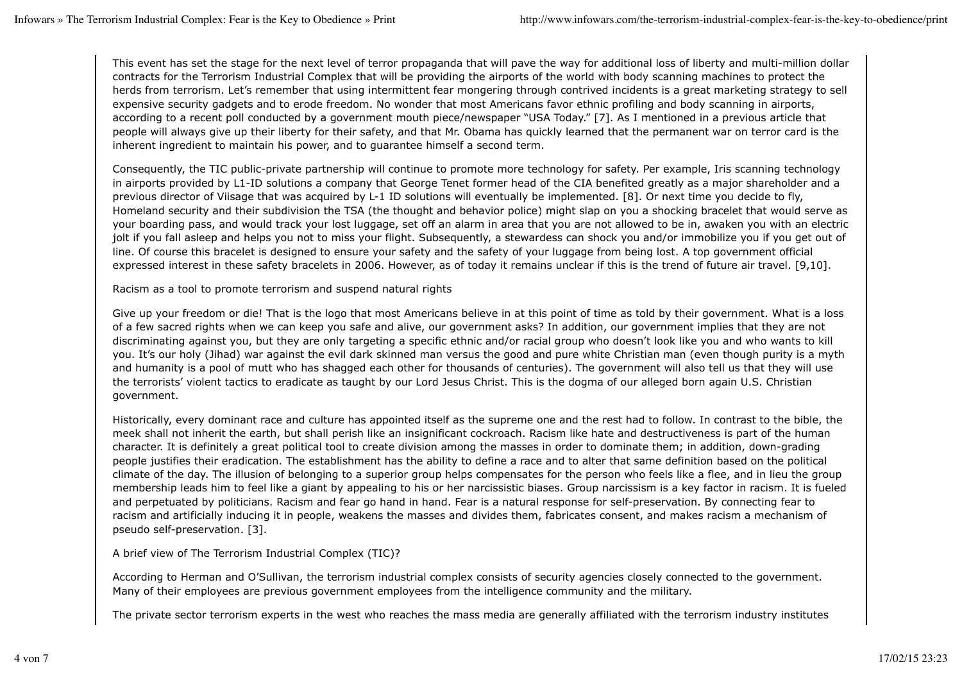This event has set the stage for the next level of terror propaganda that will pave the way for additional loss of liberty and multi-million dollar contracts for the Terrorism Industrial Complex that will be providing the airports of the world with body scanning machines to protect the herds from terrorism. Let's remember that using intermittent fear mongering through contrived incidents is a great marketing strategy to sell expensive security gadgets and to erode freedom. No wonder that most Americans favor ethnic profiling and body scanning in airports, according to a recent poll conducted by a government mouth piece/newspaper "USA Today." [7]. As I mentioned in a previous article that people will always give up their liberty for their safety, and that Mr. Obama has quickly learned that the permanent war on terror card is the inherent ingredient to maintain his power, and to guarantee himself a second term.

Consequently, the TIC public-private partnership will continue to promote more technology for safety. Per example, Iris scanning technology in airports provided by L1-ID solutions a company that George Tenet former head of the CIA benefited greatly as a major shareholder and a previous director of Viisage that was acquired by L-1 ID solutions will eventually be implemented. [8]. Or next time you decide to fly, Homeland security and their subdivision the TSA (the thought and behavior police) might slap on you a shocking bracelet that would serve as your boarding pass, and would track your lost luggage, set off an alarm in area that you are not allowed to be in, awaken you with an electric jolt if you fall asleep and helps you not to miss your flight. Subsequently, a stewardess can shock you and/or immobilize you if you get out of line. Of course this bracelet is designed to ensure your safety and the safety of your luggage from being lost. A top government official expressed interest in these safety bracelets in 2006. However, as of today it remains unclear if this is the trend of future air travel. [9,10].

Racism as a tool to promote terrorism and suspend natural rights

Give up your freedom or die! That is the logo that most Americans believe in at this point of time as told by their government. What is a loss of a few sacred rights when we can keep you safe and alive, our government asks? In addition, our government implies that they are not discriminating against you, but they are only targeting a specific ethnic and/or racial group who doesn't look like you and who wants to kill you. It's our holy (Jihad) war against the evil dark skinned man versus the good and pure white Christian man (even though purity is a myth and humanity is a pool of mutt who has shagged each other for thousands of centuries). The government will also tell us that they will use the terrorists' violent tactics to eradicate as taught by our Lord Jesus Christ. This is the dogma of our alleged born again U.S. Christian government.

Historically, every dominant race and culture has appointed itself as the supreme one and the rest had to follow. In contrast to the bible, the meek shall not inherit the earth, but shall perish like an insignificant cockroach. Racism like hate and destructiveness is part of the human character. It is definitely a great political tool to create division among the masses in order to dominate them; in addition, down-grading people justifies their eradication. The establishment has the ability to define a race and to alter that same definition based on the political climate of the day. The illusion of belonging to a superior group helps compensates for the person who feels like a flee, and in lieu the group membership leads him to feel like a giant by appealing to his or her narcissistic biases. Group narcissism is a key factor in racism. It is fueled and perpetuated by politicians. Racism and fear go hand in hand. Fear is a natural response for self-preservation. By connecting fear to racism and artificially inducing it in people, weakens the masses and divides them, fabricates consent, and makes racism a mechanism of pseudo self-preservation. [3].

A brief view of The Terrorism Industrial Complex (TIC)?

According to Herman and O'Sullivan, the terrorism industrial complex consists of security agencies closely connected to the government. Many of their employees are previous government employees from the intelligence community and the military.

The private sector terrorism experts in the west who reaches the mass media are generally affiliated with the terrorism industry institutes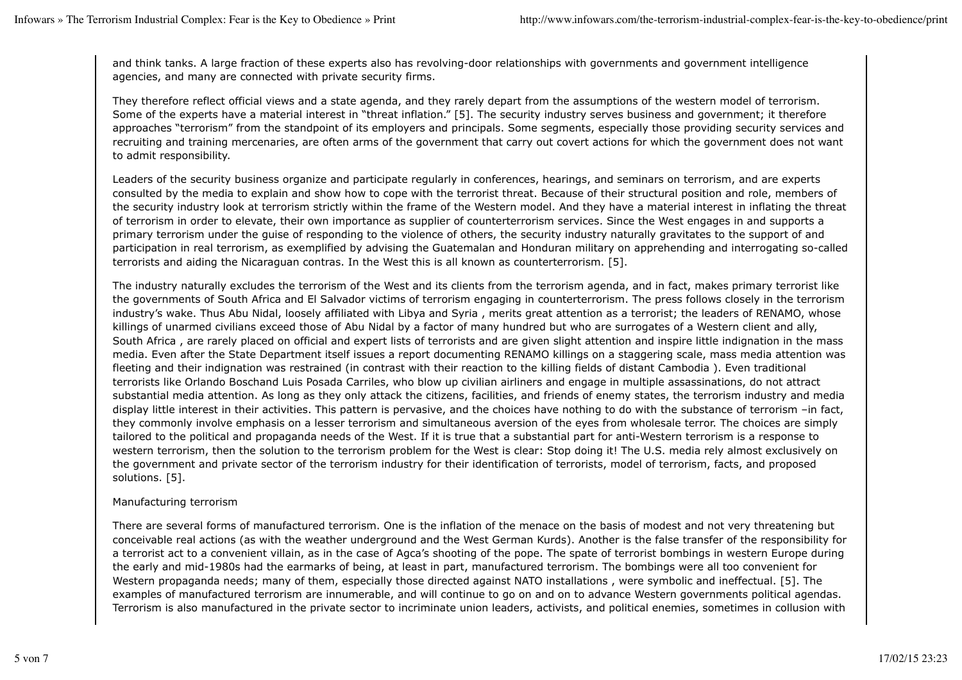and think tanks. A large fraction of these experts also has revolving-door relationships with governments and government intelligence agencies, and many are connected with private security firms.

They therefore reflect official views and a state agenda, and they rarely depart from the assumptions of the western model of terrorism. Some of the experts have a material interest in "threat inflation." [5]. The security industry serves business and government; it therefore approaches "terrorism" from the standpoint of its employers and principals. Some segments, especially those providing security services and recruiting and training mercenaries, are often arms of the government that carry out covert actions for which the government does not want to admit responsibility.

Leaders of the security business organize and participate regularly in conferences, hearings, and seminars on terrorism, and are experts consulted by the media to explain and show how to cope with the terrorist threat. Because of their structural position and role, members of the security industry look at terrorism strictly within the frame of the Western model. And they have a material interest in inflating the threat of terrorism in order to elevate, their own importance as supplier of counterterrorism services. Since the West engages in and supports a primary terrorism under the guise of responding to the violence of others, the security industry naturally gravitates to the support of and participation in real terrorism, as exemplified by advising the Guatemalan and Honduran military on apprehending and interrogating so-called terrorists and aiding the Nicaraguan contras. In the West this is all known as counterterrorism. [5].

The industry naturally excludes the terrorism of the West and its clients from the terrorism agenda, and in fact, makes primary terrorist like the governments of South Africa and El Salvador victims of terrorism engaging in counterterrorism. The press follows closely in the terrorism industry's wake. Thus Abu Nidal, loosely affiliated with Libya and Syria , merits great attention as a terrorist; the leaders of RENAMO, whose killings of unarmed civilians exceed those of Abu Nidal by a factor of many hundred but who are surrogates of a Western client and ally, South Africa , are rarely placed on official and expert lists of terrorists and are given slight attention and inspire little indignation in the mass media. Even after the State Department itself issues a report documenting RENAMO killings on a staggering scale, mass media attention was fleeting and their indignation was restrained (in contrast with their reaction to the killing fields of distant Cambodia ). Even traditional terrorists like Orlando Boschand Luis Posada Carriles, who blow up civilian airliners and engage in multiple assassinations, do not attract substantial media attention. As long as they only attack the citizens, facilities, and friends of enemy states, the terrorism industry and media display little interest in their activities. This pattern is pervasive, and the choices have nothing to do with the substance of terrorism –in fact, they commonly involve emphasis on a lesser terrorism and simultaneous aversion of the eyes from wholesale terror. The choices are simply tailored to the political and propaganda needs of the West. If it is true that a substantial part for anti-Western terrorism is a response to western terrorism, then the solution to the terrorism problem for the West is clear: Stop doing it! The U.S. media rely almost exclusively on the government and private sector of the terrorism industry for their identification of terrorists, model of terrorism, facts, and proposed solutions. [5].

## Manufacturing terrorism

There are several forms of manufactured terrorism. One is the inflation of the menace on the basis of modest and not very threatening but conceivable real actions (as with the weather underground and the West German Kurds). Another is the false transfer of the responsibility for a terrorist act to a convenient villain, as in the case of Agca's shooting of the pope. The spate of terrorist bombings in western Europe during the early and mid-1980s had the earmarks of being, at least in part, manufactured terrorism. The bombings were all too convenient for Western propaganda needs; many of them, especially those directed against NATO installations , were symbolic and ineffectual. [5]. The examples of manufactured terrorism are innumerable, and will continue to go on and on to advance Western governments political agendas. Terrorism is also manufactured in the private sector to incriminate union leaders, activists, and political enemies, sometimes in collusion with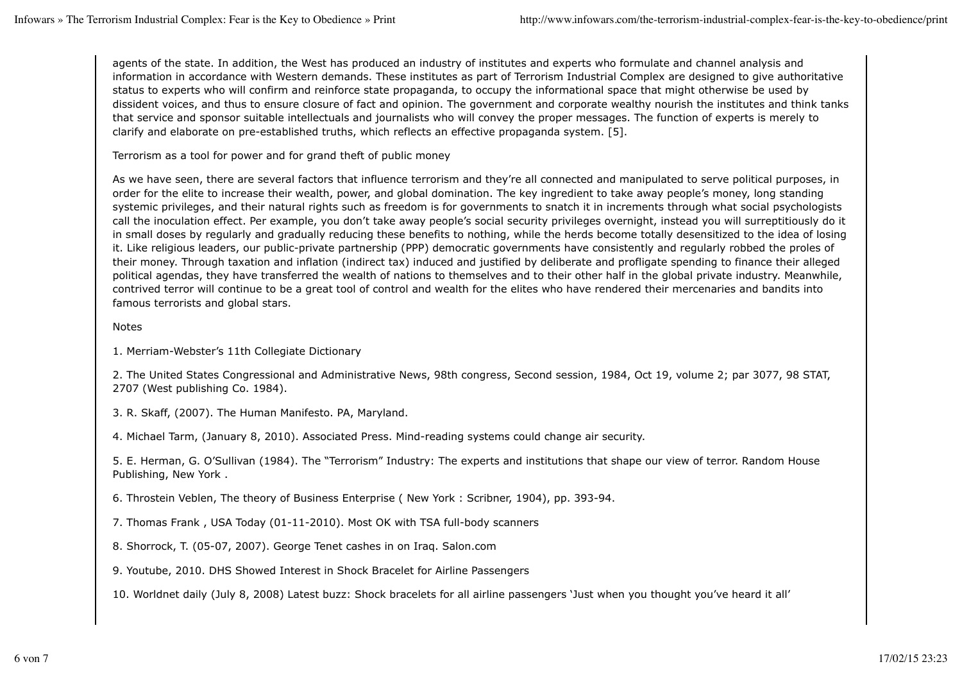agents of the state. In addition, the West has produced an industry of institutes and experts who formulate and channel analysis and information in accordance with Western demands. These institutes as part of Terrorism Industrial Complex are designed to give authoritative status to experts who will confirm and reinforce state propaganda, to occupy the informational space that might otherwise be used by dissident voices, and thus to ensure closure of fact and opinion. The government and corporate wealthy nourish the institutes and think tanks that service and sponsor suitable intellectuals and journalists who will convey the proper messages. The function of experts is merely to clarify and elaborate on pre-established truths, which reflects an effective propaganda system. [5].

Terrorism as a tool for power and for grand theft of public money

As we have seen, there are several factors that influence terrorism and they're all connected and manipulated to serve political purposes, in order for the elite to increase their wealth, power, and global domination. The key ingredient to take away people's money, long standing systemic privileges, and their natural rights such as freedom is for governments to snatch it in increments through what social psychologists call the inoculation effect. Per example, you don't take away people's social security privileges overnight, instead you will surreptitiously do it in small doses by regularly and gradually reducing these benefits to nothing, while the herds become totally desensitized to the idea of losing it. Like religious leaders, our public-private partnership (PPP) democratic governments have consistently and regularly robbed the proles of their money. Through taxation and inflation (indirect tax) induced and justified by deliberate and profligate spending to finance their alleged political agendas, they have transferred the wealth of nations to themselves and to their other half in the global private industry. Meanwhile, contrived terror will continue to be a great tool of control and wealth for the elites who have rendered their mercenaries and bandits into famous terrorists and global stars.

Notes

1. Merriam-Webster's 11th Collegiate Dictionary

2. The United States Congressional and Administrative News, 98th congress, Second session, 1984, Oct 19, volume 2; par 3077, 98 STAT, 2707 (West publishing Co. 1984).

3. R. Skaff, (2007). The Human Manifesto. PA, Maryland.

4. Michael Tarm, (January 8, 2010). Associated Press. Mind-reading systems could change air security.

5. E. Herman, G. O'Sullivan (1984). The "Terrorism" Industry: The experts and institutions that shape our view of terror. Random House Publishing, New York .

6. Throstein Veblen, The theory of Business Enterprise ( New York : Scribner, 1904), pp. 393-94.

7. Thomas Frank , USA Today (01-11-2010). Most OK with TSA full-body scanners

8. Shorrock, T. (05-07, 2007). George Tenet cashes in on Iraq. Salon.com

9. Youtube, 2010. DHS Showed Interest in Shock Bracelet for Airline Passengers

10. Worldnet daily (July 8, 2008) Latest buzz: Shock bracelets for all airline passengers 'Just when you thought you've heard it all'